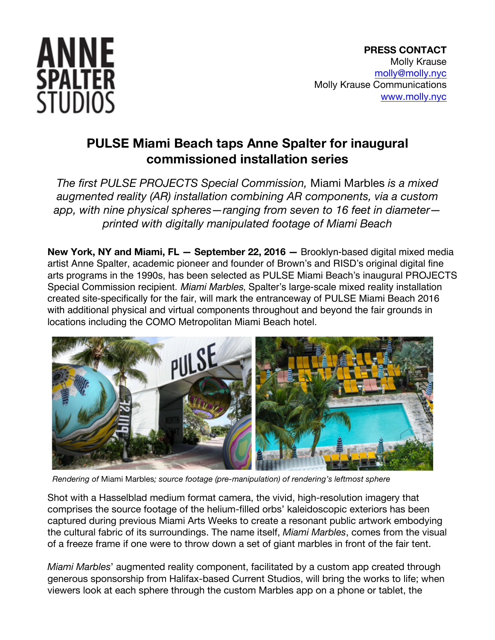

## **PULSE Miami Beach taps Anne Spalter for inaugural commissioned installation series**

*The first PULSE PROJECTS Special Commission,* Miami Marbles *is a mixed augmented reality (AR) installation combining AR components, via a custom app, with nine physical spheres—ranging from seven to 16 feet in diameter printed with digitally manipulated footage of Miami Beach*

**New York, NY and Miami, FL — September 22, 2016 —** Brooklyn-based digital mixed media artist Anne Spalter, academic pioneer and founder of Brown's and RISD's original digital fine arts programs in the 1990s, has been selected as PULSE Miami Beach's inaugural PROJECTS Special Commission recipient. *Miami Marbles*, Spalter's large-scale mixed reality installation created site-specifically for the fair, will mark the entranceway of PULSE Miami Beach 2016 with additional physical and virtual components throughout and beyond the fair grounds in locations including the COMO Metropolitan Miami Beach hotel.



 *Rendering of* Miami Marbles*; source footage (pre-manipulation) of rendering's leftmost sphere*

Shot with a Hasselblad medium format camera, the vivid, high-resolution imagery that comprises the source footage of the helium-filled orbs' kaleidoscopic exteriors has been captured during previous Miami Arts Weeks to create a resonant public artwork embodying the cultural fabric of its surroundings. The name itself, *Miami Marbles*, comes from the visual of a freeze frame if one were to throw down a set of giant marbles in front of the fair tent.

*Miami Marbles*' augmented reality component, facilitated by a custom app created through generous sponsorship from Halifax-based Current Studios, will bring the works to life; when viewers look at each sphere through the custom Marbles app on a phone or tablet, the